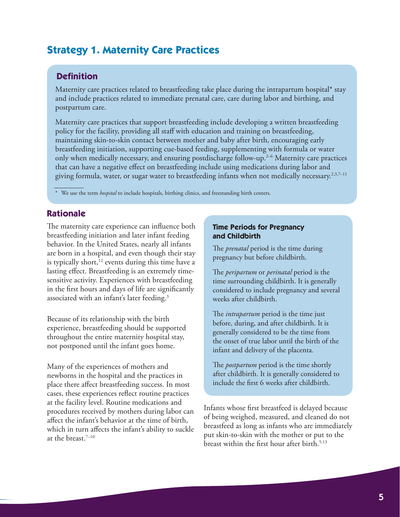# **Strategy 1. Maternity Care Practices**

# **Definition**

Maternity care practices related to breastfeeding take place during the intrapartum hospital\* stay and include practices related to immediate prenatal care, care during labor and birthing, and postpartum care.

Maternity care practices that support breastfeeding include developing a written breastfeeding policy for the facility, providing all staff with education and training on breastfeeding, maintaining skin-to-skin contact between mother and baby after birth, encouraging early breastfeeding initiation, supporting cue-based feeding, supplementing with formula or water only when medically necessary, and ensuring postdischarge follow-up.2–6 Maternity care practices that can have a negative effect on breastfeeding include using medications during labor and giving formula, water, or sugar water to breastfeeding infants when not medically necessary.<sup>2,3,7-11</sup>

We use the term *hospital* to include hospitals, birthing clinics, and freestanding birth centers.

# **Rationale**

The maternity care experience can influence both breastfeeding initiation and later infant feeding behavior. In the United States, nearly all infants are born in a hospital, and even though their stay is typically short, $12$  events during this time have a lasting effect. Breastfeeding is an extremely timesensitive activity. Experiences with breastfeeding in the first hours and days of life are significantly associated with an infant's later feeding.3

Because of its relationship with the birth experience, breastfeeding should be supported throughout the entire maternity hospital stay, not postponed until the infant goes home.

Many of the experiences of mothers and newborns in the hospital and the practices in place there affect breastfeeding success. In most cases, these experiences reflect routine practices at the facility level. Routine medications and procedures received by mothers during labor can affect the infant's behavior at the time of birth, which in turn affects the infant's ability to suckle at the breast.7–10

#### **Time Periods for Pregnancy and Childbirth**

The *prenatal* period is the time during pregnancy but before childbirth.

The *peripartum* or *perinatal* period is the time surrounding childbirth. It is generally considered to include pregnancy and several weeks after childbirth.

The *intrapartum* period is the time just before, during, and after childbirth. It is generally considered to be the time from the onset of true labor until the birth of the infant and delivery of the placenta.

The *postpartum* period is the time shortly after childbirth. It is generally considered to include the first 6 weeks after childbirth.

Infants whose first breastfeed is delayed because of being weighed, measured, and cleaned do not breastfeed as long as infants who are immediately put skin-to-skin with the mother or put to the breast within the first hour after birth.<sup>5,13</sup>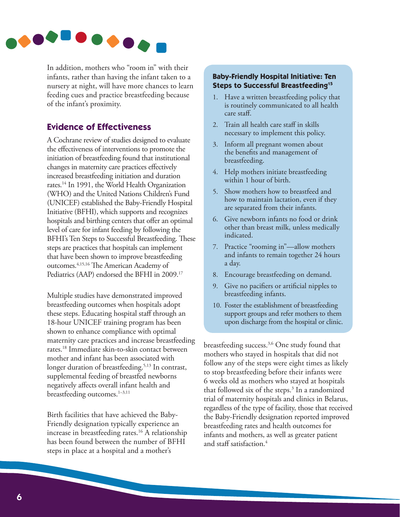

In addition, mothers who "room in" with their infants, rather than having the infant taken to a nursery at night, will have more chances to learn feeding cues and practice breastfeeding because of the infant's proximity.

# **Evidence of Effectiveness**

A Cochrane review of studies designed to evaluate the effectiveness of interventions to promote the initiation of breastfeeding found that institutional changes in maternity care practices effectively increased breastfeeding initiation and duration rates.14 In 1991, the World Health Organization (WHO) and the United Nations Children's Fund (UNICEF) established the Baby-Friendly Hospital Initiative (BFHI), which supports and recognizes hospitals and birthing centers that offer an optimal level of care for infant feeding by following the BFHI's Ten Steps to Successful Breastfeeding. These steps are practices that hospitals can implement that have been shown to improve breastfeeding outcomes.4,15,16 The American Academy of Pediatrics (AAP) endorsed the BFHI in 2009.<sup>17</sup>

Multiple studies have demonstrated improved breastfeeding outcomes when hospitals adopt these steps. Educating hospital staff through an 18-hour UNICEF training program has been shown to enhance compliance with optimal maternity care practices and increase breastfeeding rates.18 Immediate skin-to-skin contact between mother and infant has been associated with longer duration of breastfeeding.<sup>5,13</sup> In contrast, supplemental feeding of breastfed newborns negatively affects overall infant health and breastfeeding outcomes.<sup>1-3,11</sup>

Birth facilities that have achieved the Baby-Friendly designation typically experience an increase in breastfeeding rates.<sup>16</sup> A relationship has been found between the number of BFHI steps in place at a hospital and a mother's

# **Baby-Friendly Hospital Initiative: Ten Steps to Successful Breastfeeding15**

- 1. Have a written breastfeeding policy that is routinely communicated to all health care staff.
- 2. Train all health care staff in skills necessary to implement this policy.
- 3. Inform all pregnant women about the benefits and management of breastfeeding.
- 4. Help mothers initiate breastfeeding within 1 hour of birth.
- 5. Show mothers how to breastfeed and how to maintain lactation, even if they are separated from their infants.
- 6. Give newborn infants no food or drink other than breast milk, unless medically indicated.
- 7. Practice "rooming in"—allow mothers and infants to remain together 24 hours a day.
- 8. Encourage breastfeeding on demand.
- 9. Give no pacifiers or artificial nipples to breastfeeding infants.
- 10. Foster the establishment of breastfeeding support groups and refer mothers to them upon discharge from the hospital or clinic.

breastfeeding success.3,6 One study found that mothers who stayed in hospitals that did not follow any of the steps were eight times as likely to stop breastfeeding before their infants were 6 weeks old as mothers who stayed at hospitals that followed six of the steps.<sup>3</sup> In a randomized trial of maternity hospitals and clinics in Belarus, regardless of the type of facility, those that received the Baby-Friendly designation reported improved breastfeeding rates and health outcomes for infants and mothers, as well as greater patient and staff satisfaction.<sup>4</sup>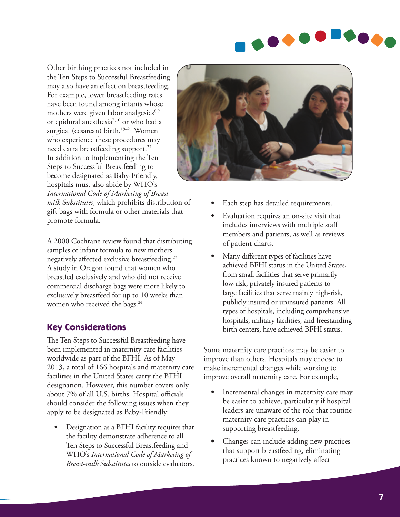

Other birthing practices not included in the Ten Steps to Successful Breastfeeding may also have an effect on breastfeeding. For example, lower breastfeeding rates have been found among infants whose mothers were given labor analgesics $8.9$ or epidural anesthesia7,10 or who had a surgical (cesarean) birth.<sup>19-21</sup> Women who experience these procedures may need extra breastfeeding support.<sup>22</sup> In addition to implementing the Ten Steps to Successful Breastfeeding to become designated as Baby-Friendly, hospitals must also abide by WHO's *International Code of Marketing of Breast-*

*milk Substitutes*, which prohibits distribution of gift bags with formula or other materials that promote formula.

A 2000 Cochrane review found that distributing samples of infant formula to new mothers negatively affected exclusive breastfeeding.23 A study in Oregon found that women who breastfed exclusively and who did not receive commercial discharge bags were more likely to exclusively breastfeed for up to 10 weeks than women who received the bags.<sup>24</sup>

# **Key Considerations**

The Ten Steps to Successful Breastfeeding have been implemented in maternity care facilities worldwide as part of the BFHI. As of May 2013, a total of 166 hospitals and maternity care facilities in the United States carry the BFHI designation. However, this number covers only about 7% of all U.S. births. Hospital officials should consider the following issues when they apply to be designated as Baby-Friendly:

• Designation as a BFHI facility requires that the facility demonstrate adherence to all Ten Steps to Successful Breastfeeding and WHO's *International Code of Marketing of Breast-milk Substitutes* to outside evaluators.



- Each step has detailed requirements.
- Evaluation requires an on-site visit that includes interviews with multiple staff members and patients, as well as reviews of patient charts.
- Many different types of facilities have achieved BFHI status in the United States, from small facilities that serve primarily low-risk, privately insured patients to large facilities that serve mainly high-risk, publicly insured or uninsured patients. All types of hospitals, including comprehensive hospitals, military facilities, and freestanding birth centers, have achieved BFHI status.

Some maternity care practices may be easier to improve than others. Hospitals may choose to make incremental changes while working to improve overall maternity care. For example,

- Incremental changes in maternity care may be easier to achieve, particularly if hospital leaders are unaware of the role that routine maternity care practices can play in supporting breastfeeding.
- Changes can include adding new practices that support breastfeeding, eliminating practices known to negatively affect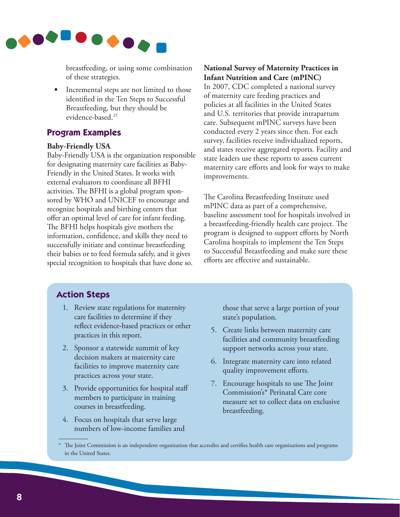

breastfeeding, or using some combination of these strategies.

• Incremental steps are not limited to those identified in the Ten Steps to Successful Breastfeeding, but they should be evidence-based.25

# **Program Examples**

#### **Baby-Friendly USA**

Baby-Friendly USA is the organization responsible for designating maternity care facilities as Baby-Friendly in the United States. It works with external evaluators to coordinate all BFHI activities. The BFHI is a global program sponsored by WHO and UNICEF to encourage and recognize hospitals and birthing centers that offer an optimal level of care for infant feeding. The BFHI helps hospitals give mothers the information, confidence, and skills they need to successfully initiate and continue breastfeeding their babies or to feed formula safely, and it gives special recognition to hospitals that have done so.

### **National Survey of Maternity Practices in Infant Nutrition and Care (mPINC)**

In 2007, CDC completed a national survey of maternity care feeding practices and policies at all facilities in the United States and U.S. territories that provide intrapartum care. Subsequent mPINC surveys have been conducted every 2 years since then. For each survey, facilities receive individualized reports, and states receive aggregated reports. Facility and state leaders use these reports to assess current maternity care efforts and look for ways to make improvements.

The Carolina Breastfeeding Institute used mPINC data as part of a comprehensive, baseline assessment tool for hospitals involved in a breastfeeding-friendly health care project. The program is designed to support efforts by North Carolina hospitals to implement the Ten Steps to Successful Breastfeeding and make sure these efforts are effective and sustainable.

# **Action Steps**

- 1. Review state regulations for maternity care facilities to determine if they reflect evidence-based practices or other practices in this report.
- 2. Sponsor a statewide summit of key decision makers at maternity care facilities to improve maternity care practices across your state.
- 3. Provide opportunities for hospital staff members to participate in training courses in breastfeeding.
- 4. Focus on hospitals that serve large numbers of low-income families and

those that serve a large portion of your state's population.

- 5. Create links between maternity care facilities and community breastfeeding support networks across your state.
- 6. Integrate maternity care into related quality improvement efforts.
- 7. Encourage hospitals to use The Joint Commission's\* Perinatal Care core measure set to collect data on exclusive breastfeeding.

The Joint Commission is an independent organization that accredits and certifies health care organizations and programs in the United States.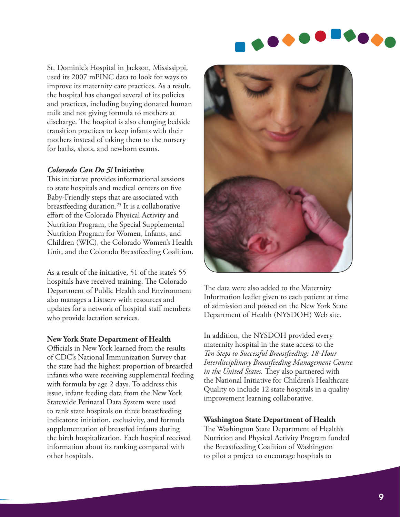

St. Dominic's Hospital in Jackson, Mississippi, used its 2007 mPINC data to look for ways to improve its maternity care practices. As a result, the hospital has changed several of its policies and practices, including buying donated human milk and not giving formula to mothers at discharge. The hospital is also changing bedside transition practices to keep infants with their mothers instead of taking them to the nursery for baths, shots, and newborn exams.

#### *Colorado Can Do 5!* **Initiative**

This initiative provides informational sessions to state hospitals and medical centers on five Baby-Friendly steps that are associated with breastfeeding duration.25 It is a collaborative effort of the Colorado Physical Activity and Nutrition Program, the Special Supplemental Nutrition Program for Women, Infants, and Children (WIC), the Colorado Women's Health Unit, and the Colorado Breastfeeding Coalition.

As a result of the initiative, 51 of the state's 55 hospitals have received training. The Colorado Department of Public Health and Environment also manages a Listserv with resources and updates for a network of hospital staff members who provide lactation services.

#### **New York State Department of Health**

Officials in New York learned from the results of CDC's National Immunization Survey that the state had the highest proportion of breastfed infants who were receiving supplemental feeding with formula by age 2 days. To address this issue, infant feeding data from the New York Statewide Perinatal Data System were used to rank state hospitals on three breastfeeding indicators: initiation, exclusivity, and formula supplementation of breastfed infants during the birth hospitalization. Each hospital received information about its ranking compared with other hospitals.



The data were also added to the Maternity Information leaflet given to each patient at time of admission and posted on the New York State Department of Health (NYSDOH) Web site.

In addition, the NYSDOH provided every maternity hospital in the state access to the *Ten Steps to Successful Breastfeeding: 18-Hour Interdisciplinary Breastfeeding Management Course in the United States.* They also partnered with the National Initiative for Children's Healthcare Quality to include 12 state hospitals in a quality improvement learning collaborative.

#### **Washington State Department of Health**

The Washington State Department of Health's Nutrition and Physical Activity Program funded the Breastfeeding Coalition of Washington to pilot a project to encourage hospitals to